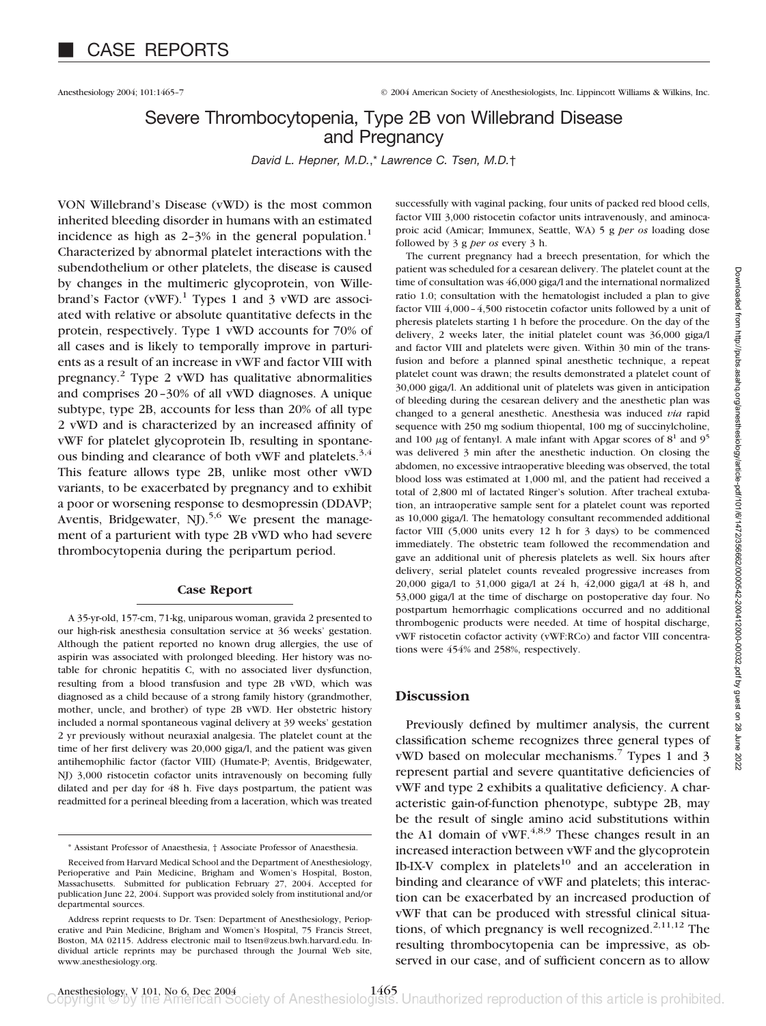Anesthesiology 2004; 101:1465–7 © 2004 American Society of Anesthesiologists, Inc. Lippincott Williams & Wilkins, Inc.

# Severe Thrombocytopenia, Type 2B von Willebrand Disease and Pregnancy

*David L. Hepner, M.D.*,\* *Lawrence C. Tsen, M.D.*†

VON Willebrand's Disease (vWD) is the most common inherited bleeding disorder in humans with an estimated incidence as high as  $2-3\%$  in the general population.<sup>1</sup> Characterized by abnormal platelet interactions with the subendothelium or other platelets, the disease is caused by changes in the multimeric glycoprotein, von Willebrand's Factor  $(vWF)$ .<sup>1</sup> Types 1 and 3 vWD are associated with relative or absolute quantitative defects in the protein, respectively. Type 1 vWD accounts for 70% of all cases and is likely to temporally improve in parturients as a result of an increase in vWF and factor VIII with pregnancy.2 Type 2 vWD has qualitative abnormalities and comprises 20–30% of all vWD diagnoses. A unique subtype, type 2B, accounts for less than 20% of all type 2 vWD and is characterized by an increased affinity of vWF for platelet glycoprotein Ib, resulting in spontaneous binding and clearance of both vWF and platelets.<sup>3,4</sup> This feature allows type 2B, unlike most other vWD variants, to be exacerbated by pregnancy and to exhibit a poor or worsening response to desmopressin (DDAVP; Aventis, Bridgewater, NJ $5.5$ <sup>6</sup> We present the management of a parturient with type 2B vWD who had severe thrombocytopenia during the peripartum period.

#### **Case Report**

A 35-yr-old, 157-cm, 71-kg, uniparous woman, gravida 2 presented to our high-risk anesthesia consultation service at 36 weeks' gestation. Although the patient reported no known drug allergies, the use of aspirin was associated with prolonged bleeding. Her history was notable for chronic hepatitis C, with no associated liver dysfunction, resulting from a blood transfusion and type 2B vWD, which was diagnosed as a child because of a strong family history (grandmother, mother, uncle, and brother) of type 2B vWD. Her obstetric history included a normal spontaneous vaginal delivery at 39 weeks' gestation 2 yr previously without neuraxial analgesia. The platelet count at the time of her first delivery was 20,000 giga/l, and the patient was given antihemophilic factor (factor VIII) (Humate-P; Aventis, Bridgewater, NJ) 3,000 ristocetin cofactor units intravenously on becoming fully dilated and per day for 48 h. Five days postpartum, the patient was readmitted for a perineal bleeding from a laceration, which was treated

successfully with vaginal packing, four units of packed red blood cells, factor VIII 3,000 ristocetin cofactor units intravenously, and aminocaproic acid (Amicar; Immunex, Seattle, WA) 5 g *per os* loading dose followed by 3 g *per os* every 3 h.

The current pregnancy had a breech presentation, for which the patient was scheduled for a cesarean delivery. The platelet count at the time of consultation was 46,000 giga/l and the international normalized ratio 1.0; consultation with the hematologist included a plan to give factor VIII 4,000–4,500 ristocetin cofactor units followed by a unit of pheresis platelets starting 1 h before the procedure. On the day of the delivery, 2 weeks later, the initial platelet count was 36,000 giga/l and factor VIII and platelets were given. Within 30 min of the transfusion and before a planned spinal anesthetic technique, a repeat platelet count was drawn; the results demonstrated a platelet count of 30,000 giga/l. An additional unit of platelets was given in anticipation of bleeding during the cesarean delivery and the anesthetic plan was changed to a general anesthetic. Anesthesia was induced *via* rapid sequence with 250 mg sodium thiopental, 100 mg of succinylcholine, and 100  $\mu$ g of fentanyl. A male infant with Apgar scores of  $8^1$  and  $9^5$ was delivered 3 min after the anesthetic induction. On closing the abdomen, no excessive intraoperative bleeding was observed, the total blood loss was estimated at 1,000 ml, and the patient had received a total of 2,800 ml of lactated Ringer's solution. After tracheal extubation, an intraoperative sample sent for a platelet count was reported as 10,000 giga/l. The hematology consultant recommended additional factor VIII (5,000 units every 12 h for 3 days) to be commenced immediately. The obstetric team followed the recommendation and gave an additional unit of pheresis platelets as well. Six hours after delivery, serial platelet counts revealed progressive increases from 20,000 giga/l to 31,000 giga/l at 24 h, 42,000 giga/l at 48 h, and 53,000 giga/l at the time of discharge on postoperative day four. No postpartum hemorrhagic complications occurred and no additional thrombogenic products were needed. At time of hospital discharge, vWF ristocetin cofactor activity (vWF:RCo) and factor VIII concentrations were 454% and 258%, respectively.

### **Discussion**

Previously defined by multimer analysis, the current classification scheme recognizes three general types of vWD based on molecular mechanisms.<sup>7</sup> Types 1 and 3 represent partial and severe quantitative deficiencies of vWF and type 2 exhibits a qualitative deficiency. A characteristic gain-of-function phenotype, subtype 2B, may be the result of single amino acid substitutions within the A1 domain of vWF. $^{4,8,9}$  These changes result in an increased interaction between vWF and the glycoprotein Ib-IX-V complex in platelets<sup>10</sup> and an acceleration in binding and clearance of vWF and platelets; this interaction can be exacerbated by an increased production of vWF that can be produced with stressful clinical situations, of which pregnancy is well recognized.<sup>2,11,12</sup> The resulting thrombocytopenia can be impressive, as observed in our case, and of sufficient concern as to allow

<sup>\*</sup> Assistant Professor of Anaesthesia, † Associate Professor of Anaesthesia.

Received from Harvard Medical School and the Department of Anesthesiology, Perioperative and Pain Medicine, Brigham and Women's Hospital, Boston, Massachusetts. Submitted for publication February 27, 2004. Accepted for publication June 22, 2004. Support was provided solely from institutional and/or departmental sources.

Address reprint requests to Dr. Tsen: Department of Anesthesiology, Perioperative and Pain Medicine, Brigham and Women's Hospital, 75 Francis Street, Boston, MA 02115. Address electronic mail to ltsen@zeus.bwh.harvard.edu. Individual article reprints may be purchased through the Journal Web site, www.anesthesiology.org.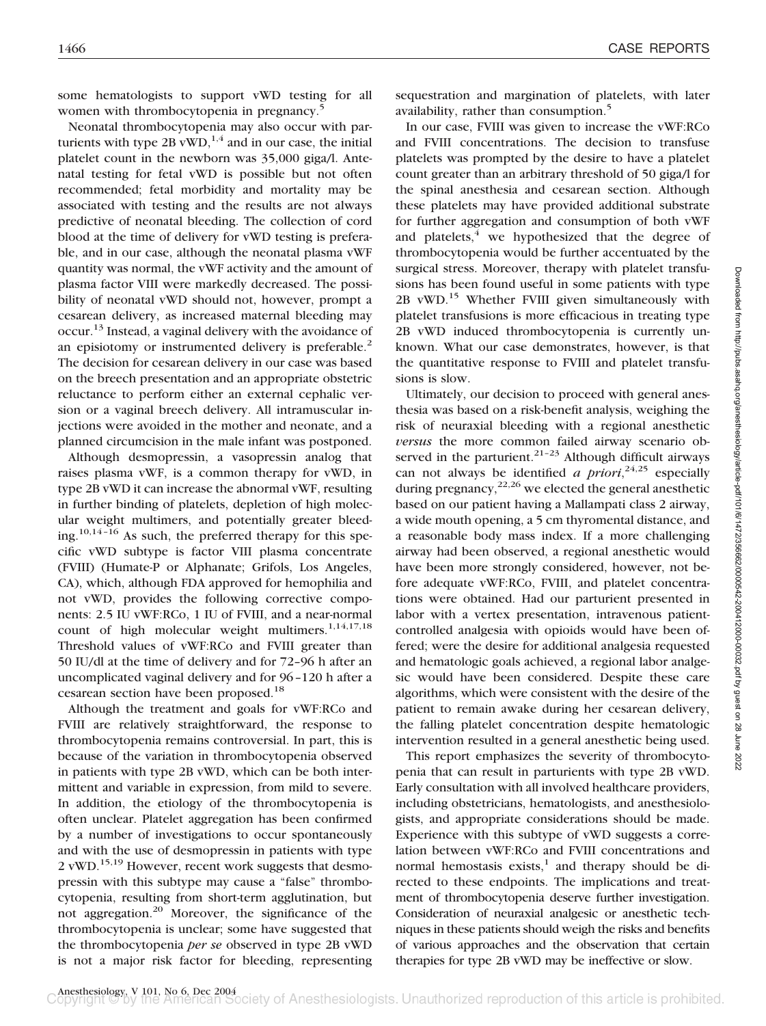some hematologists to support vWD testing for all women with thrombocytopenia in pregnancy.<sup>5</sup>

Neonatal thrombocytopenia may also occur with parturients with type 2B vWD, $^{1,4}$  and in our case, the initial platelet count in the newborn was 35,000 giga/l. Antenatal testing for fetal vWD is possible but not often recommended; fetal morbidity and mortality may be associated with testing and the results are not always predictive of neonatal bleeding. The collection of cord blood at the time of delivery for vWD testing is preferable, and in our case, although the neonatal plasma vWF quantity was normal, the vWF activity and the amount of plasma factor VIII were markedly decreased. The possibility of neonatal vWD should not, however, prompt a cesarean delivery, as increased maternal bleeding may occur.13 Instead, a vaginal delivery with the avoidance of an episiotomy or instrumented delivery is preferable.<sup>2</sup> The decision for cesarean delivery in our case was based on the breech presentation and an appropriate obstetric reluctance to perform either an external cephalic version or a vaginal breech delivery. All intramuscular injections were avoided in the mother and neonate, and a planned circumcision in the male infant was postponed.

Although desmopressin, a vasopressin analog that raises plasma vWF, is a common therapy for vWD, in type 2B vWD it can increase the abnormal vWF, resulting in further binding of platelets, depletion of high molecular weight multimers, and potentially greater bleeding.10,14–16 As such, the preferred therapy for this specific vWD subtype is factor VIII plasma concentrate (FVIII) (Humate-P or Alphanate; Grifols, Los Angeles, CA), which, although FDA approved for hemophilia and not vWD, provides the following corrective components: 2.5 IU vWF:RCo, 1 IU of FVIII, and a near-normal count of high molecular weight multimers. $1,14,17,18$ Threshold values of vWF:RCo and FVIII greater than 50 IU/dl at the time of delivery and for 72–96 h after an uncomplicated vaginal delivery and for 96–120 h after a cesarean section have been proposed.<sup>18</sup>

Although the treatment and goals for vWF:RCo and FVIII are relatively straightforward, the response to thrombocytopenia remains controversial. In part, this is because of the variation in thrombocytopenia observed in patients with type 2B vWD, which can be both intermittent and variable in expression, from mild to severe. In addition, the etiology of the thrombocytopenia is often unclear. Platelet aggregation has been confirmed by a number of investigations to occur spontaneously and with the use of desmopressin in patients with type 2 vWD.<sup>15,19</sup> However, recent work suggests that desmopressin with this subtype may cause a "false" thrombocytopenia, resulting from short-term agglutination, but not aggregation.20 Moreover, the significance of the thrombocytopenia is unclear; some have suggested that the thrombocytopenia *per se* observed in type 2B vWD is not a major risk factor for bleeding, representing sequestration and margination of platelets, with later availability, rather than consumption.<sup>5</sup>

In our case, FVIII was given to increase the vWF:RCo and FVIII concentrations. The decision to transfuse platelets was prompted by the desire to have a platelet count greater than an arbitrary threshold of 50 giga/l for the spinal anesthesia and cesarean section. Although these platelets may have provided additional substrate for further aggregation and consumption of both vWF and platelets, $4\overline{ }$  we hypothesized that the degree of thrombocytopenia would be further accentuated by the surgical stress. Moreover, therapy with platelet transfusions has been found useful in some patients with type 2B vWD.15 Whether FVIII given simultaneously with platelet transfusions is more efficacious in treating type 2B vWD induced thrombocytopenia is currently unknown. What our case demonstrates, however, is that the quantitative response to FVIII and platelet transfusions is slow.

Ultimately, our decision to proceed with general anesthesia was based on a risk-benefit analysis, weighing the risk of neuraxial bleeding with a regional anesthetic *versus* the more common failed airway scenario observed in the parturient. $21-23$  Although difficult airways can not always be identified *a priori*, 24,25 especially during pregnancy,  $2^{2,26}$  we elected the general anesthetic based on our patient having a Mallampati class 2 airway, a wide mouth opening, a 5 cm thyromental distance, and a reasonable body mass index. If a more challenging airway had been observed, a regional anesthetic would have been more strongly considered, however, not before adequate vWF:RCo, FVIII, and platelet concentrations were obtained. Had our parturient presented in labor with a vertex presentation, intravenous patientcontrolled analgesia with opioids would have been offered; were the desire for additional analgesia requested and hematologic goals achieved, a regional labor analgesic would have been considered. Despite these care algorithms, which were consistent with the desire of the patient to remain awake during her cesarean delivery, the falling platelet concentration despite hematologic intervention resulted in a general anesthetic being used.

This report emphasizes the severity of thrombocytopenia that can result in parturients with type 2B vWD. Early consultation with all involved healthcare providers, including obstetricians, hematologists, and anesthesiologists, and appropriate considerations should be made. Experience with this subtype of vWD suggests a correlation between vWF:RCo and FVIII concentrations and normal hemostasis exists, $\frac{1}{1}$  and therapy should be directed to these endpoints. The implications and treatment of thrombocytopenia deserve further investigation. Consideration of neuraxial analgesic or anesthetic techniques in these patients should weigh the risks and benefits of various approaches and the observation that certain therapies for type 2B vWD may be ineffective or slow.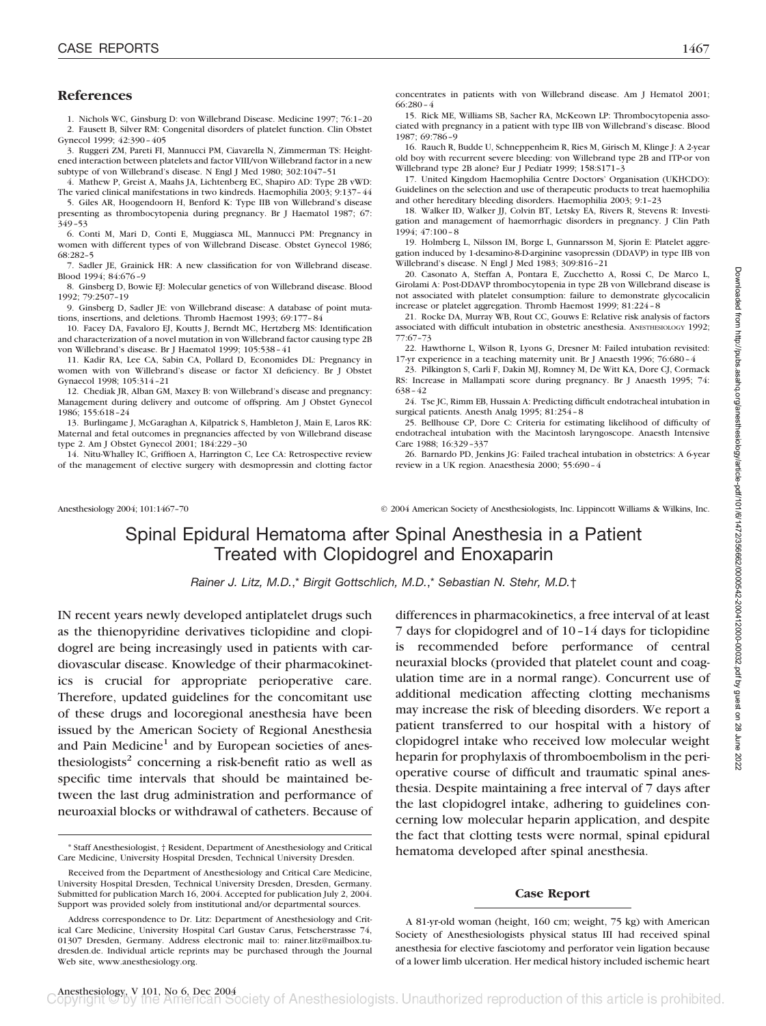### **References**

1. Nichols WC, Ginsburg D: von Willebrand Disease. Medicine 1997; 76:1–20 2. Fausett B, Silver RM: Congenital disorders of platelet function. Clin Obstet Gynecol 1999; 42:390–405

3. Ruggeri ZM, Pareti FI, Mannucci PM, Ciavarella N, Zimmerman TS: Heightened interaction between platelets and factor VIII/von Willebrand factor in a new subtype of von Willebrand's disease. N Engl J Med 1980; 302:1047–51

4. Mathew P, Greist A, Maahs JA, Lichtenberg EC, Shapiro AD: Type 2B vWD: The varied clinical manifestations in two kindreds. Haemophilia 2003; 9:137–44

5. Giles AR, Hoogendoorn H, Benford K: Type IIB von Willebrand's disease presenting as thrombocytopenia during pregnancy. Br J Haematol 1987; 67: 349–53

6. Conti M, Mari D, Conti E, Muggiasca ML, Mannucci PM: Pregnancy in women with different types of von Willebrand Disease. Obstet Gynecol 1986; 68:282–5

7. Sadler JE, Grainick HR: A new classification for von Willebrand disease. Blood 1994; 84:676–9

8. Ginsberg D, Bowie EJ: Molecular genetics of von Willebrand disease. Blood 1992; 79:2507–19

9. Ginsberg D, Sadler JE: von Willebrand disease: A database of point mutations, insertions, and deletions. Thromb Haemost 1993; 69:177–84

10. Facey DA, Favaloro EJ, Koutts J, Berndt MC, Hertzberg MS: Identification and characterization of a novel mutation in von Willebrand factor causing type 2B von Willebrand's disease. Br J Haematol 1999; 105:538–41

11. Kadir RA, Lee CA, Sabin CA, Pollard D, Economides DL: Pregnancy in women with von Willebrand's disease or factor XI deficiency. Br J Obstet Gynaecol 1998; 105:314–21

12. Chediak JR, Alban GM, Maxey B: von Willebrand's disease and pregnancy: Management during delivery and outcome of offspring. Am J Obstet Gynecol 1986; 155:618–24

13. Burlingame J, McGaraghan A, Kilpatrick S, Hambleton J, Main E, Laros RK: Maternal and fetal outcomes in pregnancies affected by von Willebrand disease type 2. Am J Obstet Gynecol 2001; 184:229–30

14. Nitu-Whalley IC, Griffioen A, Harrington C, Lee CA: Retrospective review of the management of elective surgery with desmopressin and clotting factor concentrates in patients with von Willebrand disease. Am J Hematol 2001; 66:280–4

15. Rick ME, Williams SB, Sacher RA, McKeown LP: Thrombocytopenia associated with pregnancy in a patient with type IIB von Willebrand's disease. Blood 1987; 69:786–9

16. Rauch R, Budde U, Schneppenheim R, Ries M, Girisch M, Klinge J: A 2-year old boy with recurrent severe bleeding: von Willebrand type 2B and ITP-or von Willebrand type 2B alone? Eur J Pediatr 1999; 158:S171–3

17. United Kingdom Haemophilia Centre Doctors' Organisation (UKHCDO): Guidelines on the selection and use of therapeutic products to treat haemophilia and other hereditary bleeding disorders. Haemophilia 2003; 9:1–23

18. Walker ID, Walker JJ, Colvin BT, Letsky EA, Rivers R, Stevens R: Investigation and management of haemorrhagic disorders in pregnancy. J Clin Path 1994; 47:100–8

19. Holmberg L, Nilsson IM, Borge L, Gunnarsson M, Sjorin E: Platelet aggregation induced by 1-desamino-8-D-arginine vasopressin (DDAVP) in type IIB von Willebrand's disease. N Engl J Med 1983; 309:816–21

20. Casonato A, Steffan A, Pontara E, Zucchetto A, Rossi C, De Marco L, Girolami A: Post-DDAVP thrombocytopenia in type 2B von Willebrand disease is not associated with platelet consumption: failure to demonstrate glycocalicin increase or platelet aggregation. Thromb Haemost 1999; 81:224–8

21. Rocke DA, Murray WB, Rout CC, Gouws E: Relative risk analysis of factors associated with difficult intubation in obstetric anesthesia. ANESTHESIOLOGY 1992; 77:67–73

22. Hawthorne L, Wilson R, Lyons G, Dresner M: Failed intubation revisited: 17-yr experience in a teaching maternity unit. Br J Anaesth 1996; 76:680–4

23. Pilkington S, Carli F, Dakin MJ, Romney M, De Witt KA, Dore CJ, Cormack RS: Increase in Mallampati score during pregnancy. Br J Anaesth 1995; 74: 638–42

24. Tse JC, Rimm EB, Hussain A: Predicting difficult endotracheal intubation in surgical patients. Anesth Analg 1995; 81:254–8

25. Bellhouse CP, Dore C: Criteria for estimating likelihood of difficulty of endotracheal intubation with the Macintosh laryngoscope. Anaesth Intensive Care 1988; 16:329–337

26. Barnardo PD, Jenkins JG: Failed tracheal intubation in obstetrics: A 6-year review in a UK region. Anaesthesia 2000; 55:690–4

Anesthesiology 2004; 101:1467–70 © 2004 American Society of Anesthesiologists, Inc. Lippincott Williams & Wilkins, Inc.

## Spinal Epidural Hematoma after Spinal Anesthesia in a Patient Treated with Clopidogrel and Enoxaparin

*Rainer J. Litz, M.D.*,\* *Birgit Gottschlich, M.D.*,\* *Sebastian N. Stehr, M.D.*†

IN recent years newly developed antiplatelet drugs such as the thienopyridine derivatives ticlopidine and clopidogrel are being increasingly used in patients with cardiovascular disease. Knowledge of their pharmacokinetics is crucial for appropriate perioperative care. Therefore, updated guidelines for the concomitant use of these drugs and locoregional anesthesia have been issued by the American Society of Regional Anesthesia and Pain Medicine<sup>1</sup> and by European societies of anesthesiologists<sup>2</sup> concerning a risk-benefit ratio as well as specific time intervals that should be maintained between the last drug administration and performance of neuroaxial blocks or withdrawal of catheters. Because of

differences in pharmacokinetics, a free interval of at least 7 days for clopidogrel and of 10–14 days for ticlopidine is recommended before performance of central neuraxial blocks (provided that platelet count and coagulation time are in a normal range). Concurrent use of additional medication affecting clotting mechanisms may increase the risk of bleeding disorders. We report a patient transferred to our hospital with a history of clopidogrel intake who received low molecular weight heparin for prophylaxis of thromboembolism in the perioperative course of difficult and traumatic spinal anesthesia. Despite maintaining a free interval of 7 days after the last clopidogrel intake, adhering to guidelines concerning low molecular heparin application, and despite the fact that clotting tests were normal, spinal epidural hematoma developed after spinal anesthesia.

#### **Case Report**

A 81-yr-old woman (height, 160 cm; weight, 75 kg) with American Society of Anesthesiologists physical status III had received spinal anesthesia for elective fasciotomy and perforator vein ligation because of a lower limb ulceration. Her medical history included ischemic heart

<sup>\*</sup> Staff Anesthesiologist, † Resident, Department of Anesthesiology and Critical Care Medicine, University Hospital Dresden, Technical University Dresden.

Received from the Department of Anesthesiology and Critical Care Medicine, University Hospital Dresden, Technical University Dresden, Dresden, Germany. Submitted for publication March 16, 2004. Accepted for publication July 2, 2004. Support was provided solely from institutional and/or departmental sources.

Address correspondence to Dr. Litz: Department of Anesthesiology and Critical Care Medicine, University Hospital Carl Gustav Carus, Fetscherstrasse 74, 01307 Dresden, Germany. Address electronic mail to: rainer.litz@mailbox.tudresden.de. Individual article reprints may be purchased through the Journal Web site, www.anesthesiology.org.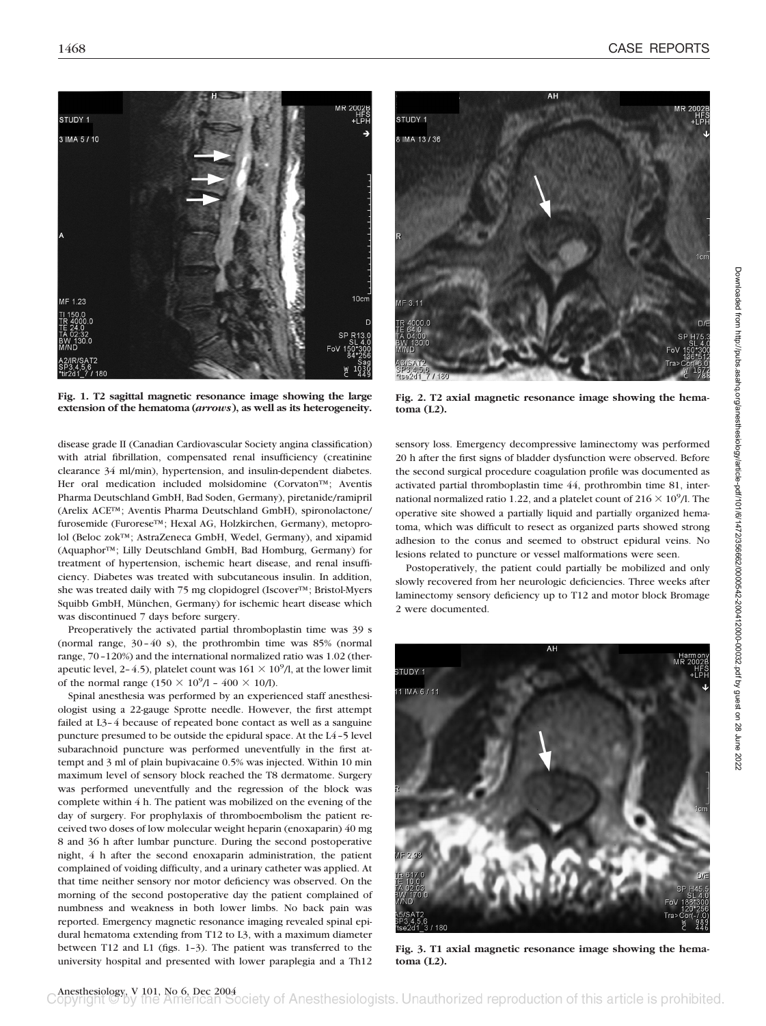

**Fig. 1. T2 sagittal magnetic resonance image showing the large extension of the hematoma (***arrows***), as well as its heterogeneity.**

disease grade II (Canadian Cardiovascular Society angina classification) with atrial fibrillation, compensated renal insufficiency (creatinine clearance 34 ml/min), hypertension, and insulin-dependent diabetes. Her oral medication included molsidomine (Corvaton™; Aventis Pharma Deutschland GmbH, Bad Soden, Germany), piretanide/ramipril (Arelix ACE™; Aventis Pharma Deutschland GmbH), spironolactone/ furosemide (Furorese™; Hexal AG, Holzkirchen, Germany), metoprolol (Beloc zok™; AstraZeneca GmbH, Wedel, Germany), and xipamid (Aquaphor™; Lilly Deutschland GmbH, Bad Homburg, Germany) for treatment of hypertension, ischemic heart disease, and renal insufficiency. Diabetes was treated with subcutaneous insulin. In addition, she was treated daily with 75 mg clopidogrel (Iscover™; Bristol-Myers Squibb GmbH, München, Germany) for ischemic heart disease which was discontinued 7 days before surgery.

Preoperatively the activated partial thromboplastin time was 39 s (normal range, 30–40 s), the prothrombin time was 85% (normal range, 70–120%) and the international normalized ratio was 1.02 (therapeutic level, 2-4.5), platelet count was  $161 \times 10^9/1$ , at the lower limit of the normal range  $(150 \times 10^9/1 - 400 \times 10/1)$ .

Spinal anesthesia was performed by an experienced staff anesthesiologist using a 22-gauge Sprotte needle. However, the first attempt failed at L3–4 because of repeated bone contact as well as a sanguine puncture presumed to be outside the epidural space. At the L4–5 level subarachnoid puncture was performed uneventfully in the first attempt and 3 ml of plain bupivacaine 0.5% was injected. Within 10 min maximum level of sensory block reached the T8 dermatome. Surgery was performed uneventfully and the regression of the block was complete within 4 h. The patient was mobilized on the evening of the day of surgery. For prophylaxis of thromboembolism the patient received two doses of low molecular weight heparin (enoxaparin) 40 mg 8 and 36 h after lumbar puncture. During the second postoperative night, 4 h after the second enoxaparin administration, the patient complained of voiding difficulty, and a urinary catheter was applied. At that time neither sensory nor motor deficiency was observed. On the morning of the second postoperative day the patient complained of numbness and weakness in both lower limbs. No back pain was reported. Emergency magnetic resonance imaging revealed spinal epidural hematoma extending from T12 to L3, with a maximum diameter between T12 and L1 (figs. 1–3). The patient was transferred to the university hospital and presented with lower paraplegia and a Th12



**Fig. 2. T2 axial magnetic resonance image showing the hematoma (L2).**

sensory loss. Emergency decompressive laminectomy was performed 20 h after the first signs of bladder dysfunction were observed. Before the second surgical procedure coagulation profile was documented as activated partial thromboplastin time 44, prothrombin time 81, international normalized ratio 1.22, and a platelet count of  $216 \times 10^9$ /l. The operative site showed a partially liquid and partially organized hematoma, which was difficult to resect as organized parts showed strong adhesion to the conus and seemed to obstruct epidural veins. No lesions related to puncture or vessel malformations were seen.

Postoperatively, the patient could partially be mobilized and only slowly recovered from her neurologic deficiencies. Three weeks after laminectomy sensory deficiency up to T12 and motor block Bromage 2 were documented.



**Fig. 3. T1 axial magnetic resonance image showing the hematoma (L2).**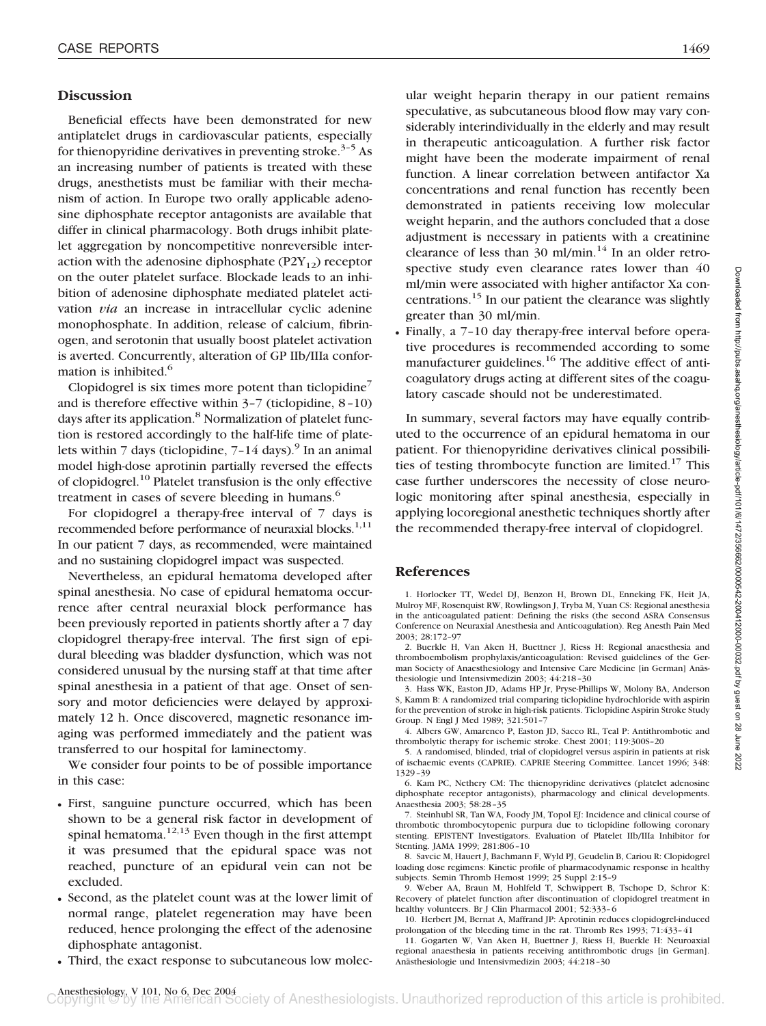### **Discussion**

Beneficial effects have been demonstrated for new antiplatelet drugs in cardiovascular patients, especially for thienopyridine derivatives in preventing stroke.<sup>3-5</sup> As an increasing number of patients is treated with these drugs, anesthetists must be familiar with their mechanism of action. In Europe two orally applicable adenosine diphosphate receptor antagonists are available that differ in clinical pharmacology. Both drugs inhibit platelet aggregation by noncompetitive nonreversible interaction with the adenosine diphosphate  $(P2Y_{12})$  receptor on the outer platelet surface. Blockade leads to an inhibition of adenosine diphosphate mediated platelet activation *via* an increase in intracellular cyclic adenine monophosphate. In addition, release of calcium, fibrinogen, and serotonin that usually boost platelet activation is averted. Concurrently, alteration of GP IIb/IIIa conformation is inhibited.<sup>6</sup>

Clopidogrel is six times more potent than ticlopidine<sup>7</sup> and is therefore effective within 3–7 (ticlopidine, 8–10) days after its application.<sup>8</sup> Normalization of platelet function is restored accordingly to the half-life time of platelets within 7 days (ticlopidine,  $7-14$  days).<sup>9</sup> In an animal model high-dose aprotinin partially reversed the effects of clopidogrel.10 Platelet transfusion is the only effective treatment in cases of severe bleeding in humans.<sup>6</sup>

For clopidogrel a therapy-free interval of 7 days is recommended before performance of neuraxial blocks.<sup>1,11</sup> In our patient 7 days, as recommended, were maintained and no sustaining clopidogrel impact was suspected.

Nevertheless, an epidural hematoma developed after spinal anesthesia. No case of epidural hematoma occurrence after central neuraxial block performance has been previously reported in patients shortly after a 7 day clopidogrel therapy-free interval. The first sign of epidural bleeding was bladder dysfunction, which was not considered unusual by the nursing staff at that time after spinal anesthesia in a patient of that age. Onset of sensory and motor deficiencies were delayed by approximately 12 h. Once discovered, magnetic resonance imaging was performed immediately and the patient was transferred to our hospital for laminectomy.

We consider four points to be of possible importance in this case:

- First, sanguine puncture occurred, which has been shown to be a general risk factor in development of spinal hematoma.<sup>12,13</sup> Even though in the first attempt it was presumed that the epidural space was not reached, puncture of an epidural vein can not be excluded.
- Second, as the platelet count was at the lower limit of normal range, platelet regeneration may have been reduced, hence prolonging the effect of the adenosine diphosphate antagonist.
- Third, the exact response to subcutaneous low molec-

ular weight heparin therapy in our patient remains speculative, as subcutaneous blood flow may vary considerably interindividually in the elderly and may result in therapeutic anticoagulation. A further risk factor might have been the moderate impairment of renal function. A linear correlation between antifactor Xa concentrations and renal function has recently been demonstrated in patients receiving low molecular weight heparin, and the authors concluded that a dose adjustment is necessary in patients with a creatinine clearance of less than  $30 \text{ ml/min}$ .<sup>14</sup> In an older retrospective study even clearance rates lower than 40 ml/min were associated with higher antifactor Xa concentrations.15 In our patient the clearance was slightly greater than 30 ml/min.

• Finally, a 7–10 day therapy-free interval before operative procedures is recommended according to some manufacturer guidelines.<sup>16</sup> The additive effect of anticoagulatory drugs acting at different sites of the coagulatory cascade should not be underestimated.

In summary, several factors may have equally contributed to the occurrence of an epidural hematoma in our patient. For thienopyridine derivatives clinical possibilities of testing thrombocyte function are limited.<sup>17</sup> This case further underscores the necessity of close neurologic monitoring after spinal anesthesia, especially in applying locoregional anesthetic techniques shortly after the recommended therapy-free interval of clopidogrel.

### **References**

1. Horlocker TT, Wedel DJ, Benzon H, Brown DL, Enneking FK, Heit JA, Mulroy MF, Rosenquist RW, Rowlingson J, Tryba M, Yuan CS: Regional anesthesia in the anticoagulated patient: Defining the risks (the second ASRA Consensus Conference on Neuraxial Anesthesia and Anticoagulation). Reg Anesth Pain Med 2003; 28:172–97

2. Buerkle H, Van Aken H, Buettner J, Riess H: Regional anaesthesia and thromboembolism prophylaxis/anticoagulation: Revised guidelines of the German Society of Anaesthesiology and Intensive Care Medicine [in German] Anästhesiologie und Intensivmedizin 2003; 44:218–30

3. Hass WK, Easton JD, Adams HP Jr, Pryse-Phillips W, Molony BA, Anderson S, Kamm B: A randomized trial comparing ticlopidine hydrochloride with aspirin for the prevention of stroke in high-risk patients. Ticlopidine Aspirin Stroke Study Group. N Engl J Med 1989; 321:501–7

4. Albers GW, Amarenco P, Easton JD, Sacco RL, Teal P: Antithrombotic and thrombolytic therapy for ischemic stroke. Chest 2001; 119:300S–20

5. A randomised, blinded, trial of clopidogrel versus aspirin in patients at risk of ischaemic events (CAPRIE). CAPRIE Steering Committee. Lancet 1996; 348: 1329–39

6. Kam PC, Nethery CM: The thienopyridine derivatives (platelet adenosine diphosphate receptor antagonists), pharmacology and clinical developments. Anaesthesia 2003; 58:28–35

7. Steinhubl SR, Tan WA, Foody JM, Topol EJ: Incidence and clinical course of thrombotic thrombocytopenic purpura due to ticlopidine following coronary stenting. EPISTENT Investigators. Evaluation of Platelet IIb/IIIa Inhibitor for Stenting. JAMA 1999; 281:806–10

8. Savcic M, Hauert J, Bachmann F, Wyld PJ, Geudelin B, Cariou R: Clopidogrel loading dose regimens: Kinetic profile of pharmacodynamic response in healthy subjects. Semin Thromb Hemost 1999; 25 Suppl 2:15–9

9. Weber AA, Braun M, Hohlfeld T, Schwippert B, Tschope D, Schror K: Recovery of platelet function after discontinuation of clopidogrel treatment in healthy volunteers. Br J Clin Pharmacol 2001; 52:333–6

10. Herbert JM, Bernat A, Maffrand JP: Aprotinin reduces clopidogrel-induced prolongation of the bleeding time in the rat. Thromb Res 1993; 71:433–41

11. Gogarten W, Van Aken H, Buettner J, Riess H, Buerkle H: Neuroaxial regional anaesthesia in patients receiving antithrombotic drugs [in German]. Anästhesiologie und Intensivmedizin 2003; 44:218–30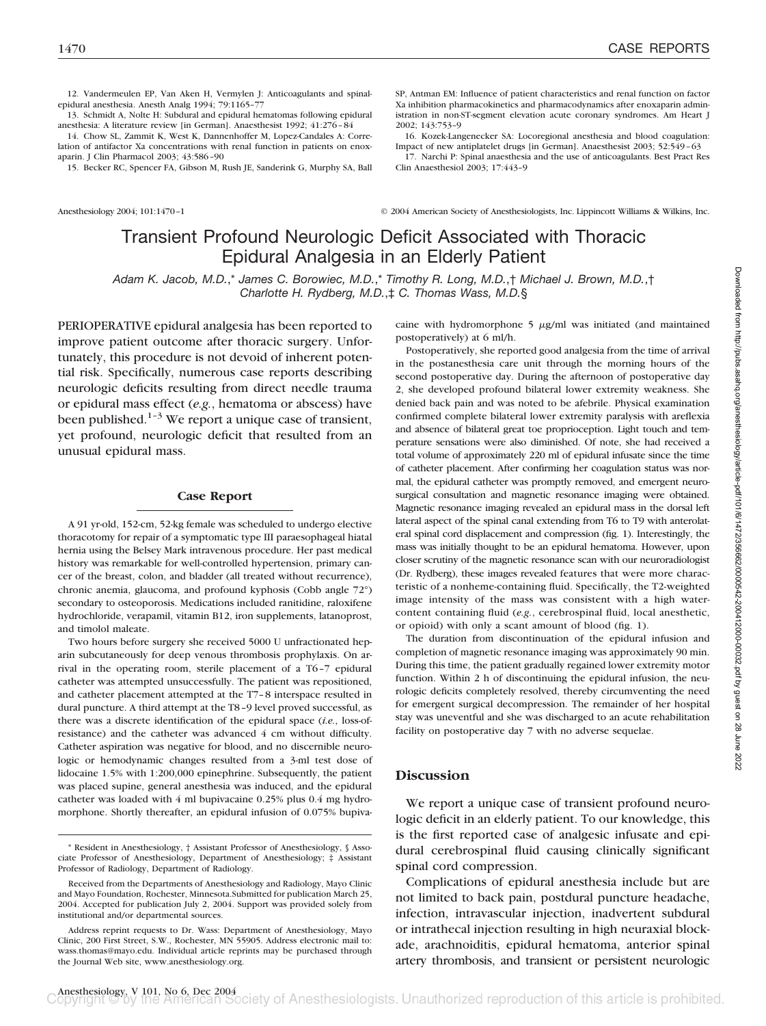12. Vandermeulen EP, Van Aken H, Vermylen J: Anticoagulants and spinalepidural anesthesia. Anesth Analg 1994; 79:1165–77

13. Schmidt A, Nolte H: Subdural and epidural hematomas following epidural anesthesia: A literature review [in German]. Anaesthesist 1992; 41:276–84

14. Chow SL, Zammit K, West K, Dannenhoffer M, Lopez-Candales A: Correlation of antifactor Xa concentrations with renal function in patients on enoxaparin. J Clin Pharmacol 2003; 43:586–90

15. Becker RC, Spencer FA, Gibson M, Rush JE, Sanderink G, Murphy SA, Ball

SP, Antman EM: Influence of patient characteristics and renal function on factor Xa inhibition pharmacokinetics and pharmacodynamics after enoxaparin administration in non-ST-segment elevation acute coronary syndromes. Am Heart J 2002; 143:753–9

16. Kozek-Langenecker SA: Locoregional anesthesia and blood coagulation: Impact of new antiplatelet drugs [in German]. Anaesthesist 2003; 52:549–63

17. Narchi P: Spinal anaesthesia and the use of anticoagulants. Best Pract Res Clin Anaesthesiol 2003; 17:443–9

Anesthesiology 2004; 101:1470–1 © 2004 American Society of Anesthesiologists, Inc. Lippincott Williams & Wilkins, Inc.

# Transient Profound Neurologic Deficit Associated with Thoracic Epidural Analgesia in an Elderly Patient

*Adam K. Jacob, M.D.*,\* *James C. Borowiec, M.D.*,\* *Timothy R. Long, M.D.*,† *Michael J. Brown, M.D.*,† *Charlotte H. Rydberg, M.D.*,‡ *C. Thomas Wass, M.D.*§

PERIOPERATIVE epidural analgesia has been reported to improve patient outcome after thoracic surgery. Unfortunately, this procedure is not devoid of inherent potential risk. Specifically, numerous case reports describing neurologic deficits resulting from direct needle trauma or epidural mass effect (*e.g.*, hematoma or abscess) have been published. $1-3$  We report a unique case of transient, yet profound, neurologic deficit that resulted from an unusual epidural mass.

### **Case Report**

A 91 yr-old, 152-cm, 52-kg female was scheduled to undergo elective thoracotomy for repair of a symptomatic type III paraesophageal hiatal hernia using the Belsey Mark intravenous procedure. Her past medical history was remarkable for well-controlled hypertension, primary cancer of the breast, colon, and bladder (all treated without recurrence), chronic anemia, glaucoma, and profound kyphosis (Cobb angle 72°) secondary to osteoporosis. Medications included ranitidine, raloxifene hydrochloride, verapamil, vitamin B12, iron supplements, latanoprost, and timolol maleate.

Two hours before surgery she received 5000 U unfractionated heparin subcutaneously for deep venous thrombosis prophylaxis. On arrival in the operating room, sterile placement of a T6–7 epidural catheter was attempted unsuccessfully. The patient was repositioned, and catheter placement attempted at the T7–8 interspace resulted in dural puncture. A third attempt at the T8–9 level proved successful, as there was a discrete identification of the epidural space (*i.e.*, loss-ofresistance) and the catheter was advanced 4 cm without difficulty. Catheter aspiration was negative for blood, and no discernible neurologic or hemodynamic changes resulted from a 3-ml test dose of lidocaine 1.5% with 1:200,000 epinephrine. Subsequently, the patient was placed supine, general anesthesia was induced, and the epidural catheter was loaded with 4 ml bupivacaine 0.25% plus 0.4 mg hydromorphone. Shortly thereafter, an epidural infusion of 0.075% bupivaDownloaded from http://pubs.asahq.org/anesthesiology/article-pdf/101/6/1472/356662/0000542-200412000-00032.pdf by guest on 28 June 2022

caine with hydromorphone  $5 \mu g/ml$  was initiated (and maintained postoperatively) at 6 ml/h.

Postoperatively, she reported good analgesia from the time of arrival in the postanesthesia care unit through the morning hours of the second postoperative day. During the afternoon of postoperative day 2, she developed profound bilateral lower extremity weakness. She denied back pain and was noted to be afebrile. Physical examination confirmed complete bilateral lower extremity paralysis with areflexia and absence of bilateral great toe proprioception. Light touch and temperature sensations were also diminished. Of note, she had received a total volume of approximately 220 ml of epidural infusate since the time of catheter placement. After confirming her coagulation status was normal, the epidural catheter was promptly removed, and emergent neurosurgical consultation and magnetic resonance imaging were obtained. Magnetic resonance imaging revealed an epidural mass in the dorsal left lateral aspect of the spinal canal extending from T6 to T9 with anterolateral spinal cord displacement and compression (fig. 1). Interestingly, the mass was initially thought to be an epidural hematoma. However, upon closer scrutiny of the magnetic resonance scan with our neuroradiologist (Dr. Rydberg), these images revealed features that were more characteristic of a nonheme-containing fluid. Specifically, the T2-weighted image intensity of the mass was consistent with a high watercontent containing fluid (*e.g.*, cerebrospinal fluid, local anesthetic, or opioid) with only a scant amount of blood (fig. 1).

The duration from discontinuation of the epidural infusion and completion of magnetic resonance imaging was approximately 90 min. During this time, the patient gradually regained lower extremity motor function. Within 2 h of discontinuing the epidural infusion, the neurologic deficits completely resolved, thereby circumventing the need for emergent surgical decompression. The remainder of her hospital stay was uneventful and she was discharged to an acute rehabilitation facility on postoperative day 7 with no adverse sequelae.

### **Discussion**

We report a unique case of transient profound neurologic deficit in an elderly patient. To our knowledge, this is the first reported case of analgesic infusate and epidural cerebrospinal fluid causing clinically significant spinal cord compression.

Complications of epidural anesthesia include but are not limited to back pain, postdural puncture headache, infection, intravascular injection, inadvertent subdural or intrathecal injection resulting in high neuraxial blockade, arachnoiditis, epidural hematoma, anterior spinal artery thrombosis, and transient or persistent neurologic

<sup>\*</sup> Resident in Anesthesiology, † Assistant Professor of Anesthesiology, § Associate Professor of Anesthesiology, Department of Anesthesiology; ‡ Assistant Professor of Radiology, Department of Radiology.

Received from the Departments of Anesthesiology and Radiology, Mayo Clinic and Mayo Foundation, Rochester, Minnesota.Submitted for publication March 25, 2004. Accepted for publication July 2, 2004. Support was provided solely from institutional and/or departmental sources.

Address reprint requests to Dr. Wass: Department of Anesthesiology, Mayo Clinic, 200 First Street, S.W., Rochester, MN 55905. Address electronic mail to: wass.thomas@mayo.edu. Individual article reprints may be purchased through the Journal Web site, www.anesthesiology.org.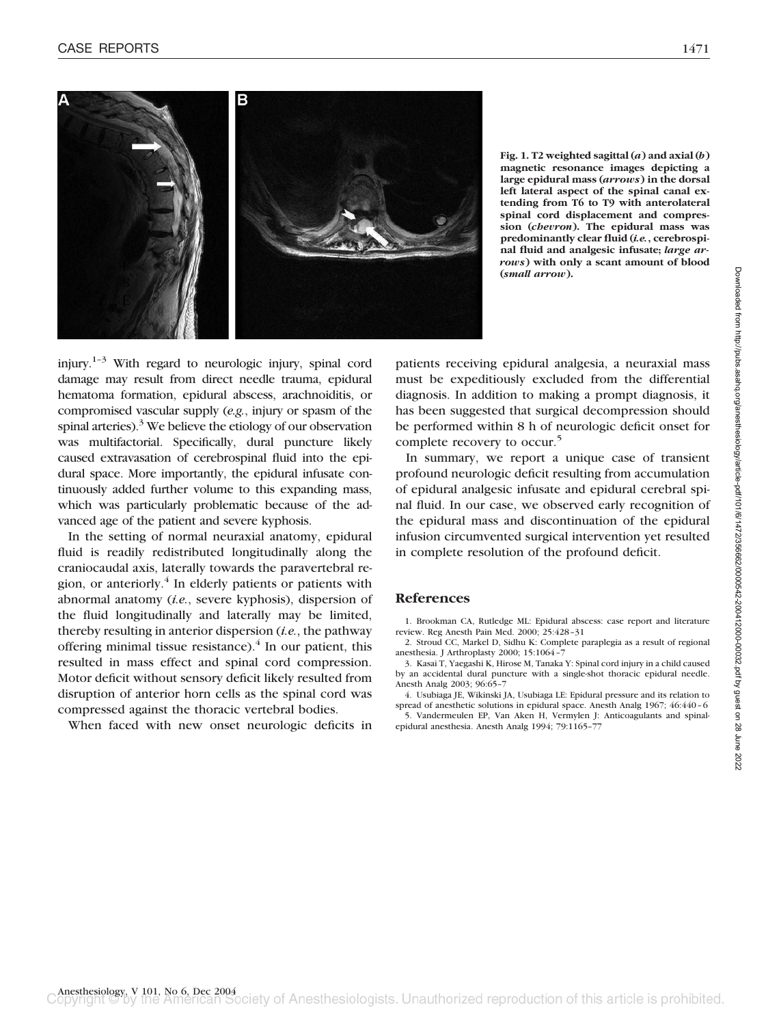

**Fig. 1. T2 weighted sagittal (***a***) and axial (***b***) magnetic resonance images depicting a large epidural mass (***arrows***) in the dorsal left lateral aspect of the spinal canal extending from T6 to T9 with anterolateral spinal cord displacement and compression (***chevron***). The epidural mass was predominantly clear fluid (***i.e.***, cerebrospinal fluid and analgesic infusate;** *large arrows***) with only a scant amount of blood (***small arrow***).**

injury.<sup>1-3</sup> With regard to neurologic injury, spinal cord damage may result from direct needle trauma, epidural hematoma formation, epidural abscess, arachnoiditis, or compromised vascular supply (*e.g.*, injury or spasm of the spinal arteries). $3$  We believe the etiology of our observation was multifactorial. Specifically, dural puncture likely caused extravasation of cerebrospinal fluid into the epidural space. More importantly, the epidural infusate continuously added further volume to this expanding mass, which was particularly problematic because of the advanced age of the patient and severe kyphosis.

In the setting of normal neuraxial anatomy, epidural fluid is readily redistributed longitudinally along the craniocaudal axis, laterally towards the paravertebral region, or anteriorly.<sup>4</sup> In elderly patients or patients with abnormal anatomy (*i.e.*, severe kyphosis), dispersion of the fluid longitudinally and laterally may be limited, thereby resulting in anterior dispersion (*i.e.*, the pathway offering minimal tissue resistance). $4$  In our patient, this resulted in mass effect and spinal cord compression. Motor deficit without sensory deficit likely resulted from disruption of anterior horn cells as the spinal cord was compressed against the thoracic vertebral bodies.

When faced with new onset neurologic deficits in

patients receiving epidural analgesia, a neuraxial mass must be expeditiously excluded from the differential diagnosis. In addition to making a prompt diagnosis, it has been suggested that surgical decompression should be performed within 8 h of neurologic deficit onset for complete recovery to occur.<sup>5</sup>

In summary, we report a unique case of transient profound neurologic deficit resulting from accumulation of epidural analgesic infusate and epidural cerebral spinal fluid. In our case, we observed early recognition of the epidural mass and discontinuation of the epidural infusion circumvented surgical intervention yet resulted in complete resolution of the profound deficit.

### **References**

1. Brookman CA, Rutledge ML: Epidural abscess: case report and literature review. Reg Anesth Pain Med. 2000; 25:428–31

2. Stroud CC, Markel D, Sidhu K: Complete paraplegia as a result of regional anesthesia. J Arthroplasty 2000; 15:1064–7

3. Kasai T, Yaegashi K, Hirose M, Tanaka Y: Spinal cord injury in a child caused by an accidental dural puncture with a single-shot thoracic epidural needle. Anesth Analg 2003; 96:65–7

4. Usubiaga JE, Wikinski JA, Usubiaga LE: Epidural pressure and its relation to spread of anesthetic solutions in epidural space. Anesth Analg 1967; 46:440–6

5. Vandermeulen EP, Van Aken H, Vermylen J: Anticoagulants and spinalepidural anesthesia. Anesth Analg 1994; 79:1165–77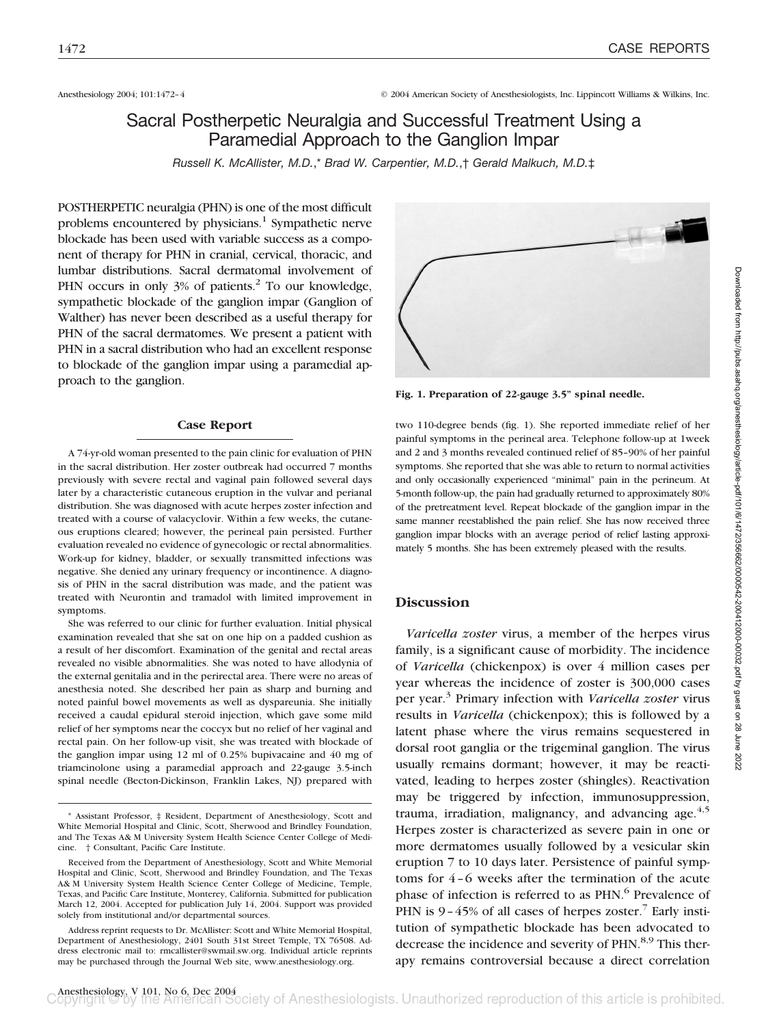Anesthesiology 2004; 101:1472–4 © 2004 American Society of Anesthesiologists, Inc. Lippincott Williams & Wilkins, Inc.

## Sacral Postherpetic Neuralgia and Successful Treatment Using a Paramedial Approach to the Ganglion Impar

*Russell K. McAllister, M.D.*,\* *Brad W. Carpentier, M.D.*,† *Gerald Malkuch, M.D.*‡

POSTHERPETIC neuralgia (PHN) is one of the most difficult problems encountered by physicians.<sup>1</sup> Sympathetic nerve blockade has been used with variable success as a component of therapy for PHN in cranial, cervical, thoracic, and lumbar distributions. Sacral dermatomal involvement of PHN occurs in only 3% of patients.<sup>2</sup> To our knowledge, sympathetic blockade of the ganglion impar (Ganglion of Walther) has never been described as a useful therapy for PHN of the sacral dermatomes. We present a patient with PHN in a sacral distribution who had an excellent response to blockade of the ganglion impar using a paramedial approach to the ganglion.

### **Case Report**

A 74-yr-old woman presented to the pain clinic for evaluation of PHN in the sacral distribution. Her zoster outbreak had occurred 7 months previously with severe rectal and vaginal pain followed several days later by a characteristic cutaneous eruption in the vulvar and perianal distribution. She was diagnosed with acute herpes zoster infection and treated with a course of valacyclovir. Within a few weeks, the cutaneous eruptions cleared; however, the perineal pain persisted. Further evaluation revealed no evidence of gynecologic or rectal abnormalities. Work-up for kidney, bladder, or sexually transmitted infections was negative. She denied any urinary frequency or incontinence. A diagnosis of PHN in the sacral distribution was made, and the patient was treated with Neurontin and tramadol with limited improvement in symptoms.

She was referred to our clinic for further evaluation. Initial physical examination revealed that she sat on one hip on a padded cushion as a result of her discomfort. Examination of the genital and rectal areas revealed no visible abnormalities. She was noted to have allodynia of the external genitalia and in the perirectal area. There were no areas of anesthesia noted. She described her pain as sharp and burning and noted painful bowel movements as well as dyspareunia. She initially received a caudal epidural steroid injection, which gave some mild relief of her symptoms near the coccyx but no relief of her vaginal and rectal pain. On her follow-up visit, she was treated with blockade of the ganglion impar using 12 ml of 0.25% bupivacaine and 40 mg of triamcinolone using a paramedial approach and 22-gauge 3.5-inch spinal needle (Becton-Dickinson, Franklin Lakes, NJ) prepared with



**Fig. 1. Preparation of 22-gauge 3.5" spinal needle.**

two 110-degree bends (fig. 1). She reported immediate relief of her painful symptoms in the perineal area. Telephone follow-up at 1week and 2 and 3 months revealed continued relief of 85–90% of her painful symptoms. She reported that she was able to return to normal activities and only occasionally experienced "minimal" pain in the perineum. At 5-month follow-up, the pain had gradually returned to approximately 80% of the pretreatment level. Repeat blockade of the ganglion impar in the same manner reestablished the pain relief. She has now received three ganglion impar blocks with an average period of relief lasting approximately 5 months. She has been extremely pleased with the results.

## **Discussion**

*Varicella zoster* virus, a member of the herpes virus family, is a significant cause of morbidity. The incidence of *Varicella* (chickenpox) is over 4 million cases per year whereas the incidence of zoster is 300,000 cases per year.3 Primary infection with *Varicella zoster* virus results in *Varicella* (chickenpox); this is followed by a latent phase where the virus remains sequestered in dorsal root ganglia or the trigeminal ganglion. The virus usually remains dormant; however, it may be reactivated, leading to herpes zoster (shingles). Reactivation may be triggered by infection, immunosuppression, trauma, irradiation, malignancy, and advancing age. $4.5$ Herpes zoster is characterized as severe pain in one or more dermatomes usually followed by a vesicular skin eruption 7 to 10 days later. Persistence of painful symptoms for 4–6 weeks after the termination of the acute phase of infection is referred to as PHN.<sup>6</sup> Prevalence of PHN is  $9-45\%$  of all cases of herpes zoster.<sup>7</sup> Early institution of sympathetic blockade has been advocated to decrease the incidence and severity of PHN.<sup>8,9</sup> This therapy remains controversial because a direct correlation

<sup>\*</sup> Assistant Professor, ‡ Resident, Department of Anesthesiology, Scott and White Memorial Hospital and Clinic, Scott, Sherwood and Brindley Foundation, and The Texas A& M University System Health Science Center College of Medicine. † Consultant, Pacific Care Institute.

Received from the Department of Anesthesiology, Scott and White Memorial Hospital and Clinic, Scott, Sherwood and Brindley Foundation, and The Texas A& M University System Health Science Center College of Medicine, Temple, Texas, and Pacific Care Institute, Monterey, California. Submitted for publication March 12, 2004. Accepted for publication July 14, 2004. Support was provided solely from institutional and/or departmental sources.

Address reprint requests to Dr. McAllister: Scott and White Memorial Hospital, Department of Anesthesiology, 2401 South 31st Street Temple, TX 76508. Address electronic mail to: rmcallister@swmail.sw.org. Individual article reprints may be purchased through the Journal Web site, www.anesthesiology.org.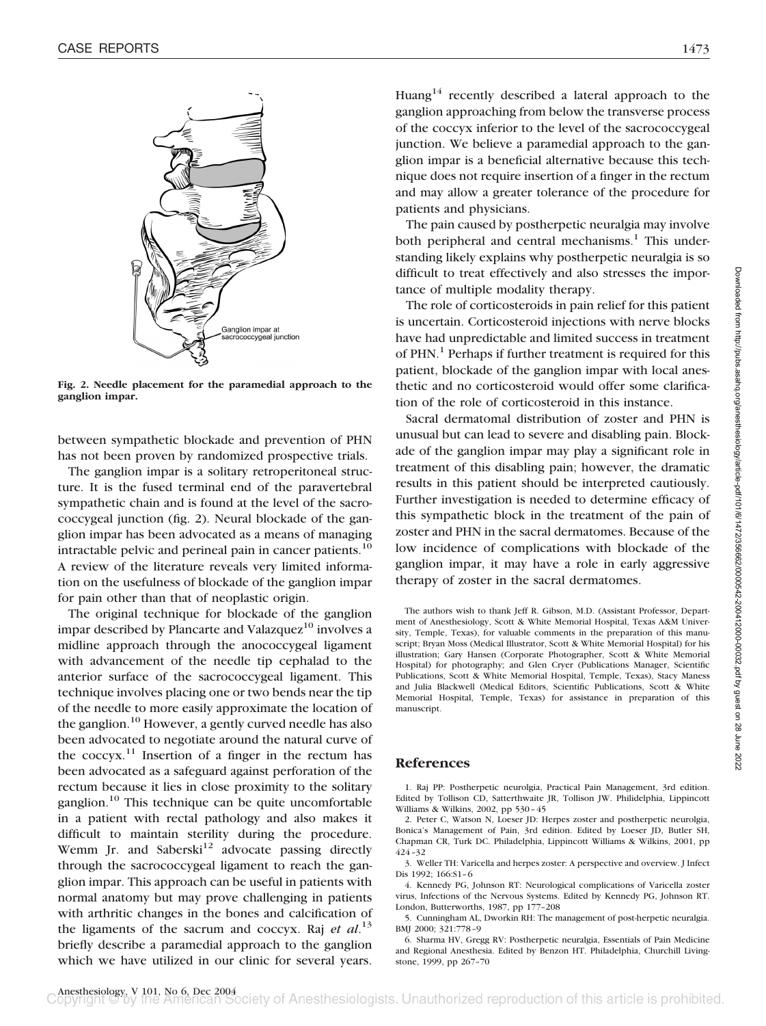

**Fig. 2. Needle placement for the paramedial approach to the ganglion impar.**

between sympathetic blockade and prevention of PHN has not been proven by randomized prospective trials.

The ganglion impar is a solitary retroperitoneal structure. It is the fused terminal end of the paravertebral sympathetic chain and is found at the level of the sacrococcygeal junction (fig. 2). Neural blockade of the ganglion impar has been advocated as a means of managing intractable pelvic and perineal pain in cancer patients.<sup>10</sup> A review of the literature reveals very limited information on the usefulness of blockade of the ganglion impar for pain other than that of neoplastic origin.

The original technique for blockade of the ganglion impar described by Plancarte and Valazquez $10$  involves a midline approach through the anococcygeal ligament with advancement of the needle tip cephalad to the anterior surface of the sacrococcygeal ligament. This technique involves placing one or two bends near the tip of the needle to more easily approximate the location of the ganglion.<sup>10</sup> However, a gently curved needle has also been advocated to negotiate around the natural curve of the  $\cscyx$ .<sup>11</sup> Insertion of a finger in the rectum has been advocated as a safeguard against perforation of the rectum because it lies in close proximity to the solitary ganglion.10 This technique can be quite uncomfortable in a patient with rectal pathology and also makes it difficult to maintain sterility during the procedure. Wemm Jr. and Saberski<sup>12</sup> advocate passing directly through the sacrococcygeal ligament to reach the ganglion impar. This approach can be useful in patients with normal anatomy but may prove challenging in patients with arthritic changes in the bones and calcification of the ligaments of the sacrum and coccyx. Raj *et al*. 13 briefly describe a paramedial approach to the ganglion which we have utilized in our clinic for several years.

Huang<sup>14</sup> recently described a lateral approach to the ganglion approaching from below the transverse process of the coccyx inferior to the level of the sacrococcygeal junction. We believe a paramedial approach to the ganglion impar is a beneficial alternative because this technique does not require insertion of a finger in the rectum and may allow a greater tolerance of the procedure for patients and physicians.

The pain caused by postherpetic neuralgia may involve both peripheral and central mechanisms.<sup>1</sup> This understanding likely explains why postherpetic neuralgia is so difficult to treat effectively and also stresses the importance of multiple modality therapy.

The role of corticosteroids in pain relief for this patient is uncertain. Corticosteroid injections with nerve blocks have had unpredictable and limited success in treatment of PHN.<sup>1</sup> Perhaps if further treatment is required for this patient, blockade of the ganglion impar with local anesthetic and no corticosteroid would offer some clarification of the role of corticosteroid in this instance.

Sacral dermatomal distribution of zoster and PHN is unusual but can lead to severe and disabling pain. Blockade of the ganglion impar may play a significant role in treatment of this disabling pain; however, the dramatic results in this patient should be interpreted cautiously. Further investigation is needed to determine efficacy of this sympathetic block in the treatment of the pain of zoster and PHN in the sacral dermatomes. Because of the low incidence of complications with blockade of the ganglion impar, it may have a role in early aggressive therapy of zoster in the sacral dermatomes.

The authors wish to thank Jeff R. Gibson, M.D. (Assistant Professor, Department of Anesthesiology, Scott & White Memorial Hospital, Texas A&M University, Temple, Texas), for valuable comments in the preparation of this manuscript; Bryan Moss (Medical Illustrator, Scott & White Memorial Hospital) for his illustration; Gary Hansen (Corporate Photographer, Scott & White Memorial Hospital) for photography; and Glen Cryer (Publications Manager, Scientific Publications, Scott & White Memorial Hospital, Temple, Texas), Stacy Maness and Julia Blackwell (Medical Editors, Scientific Publications, Scott & White Memorial Hospital, Temple, Texas) for assistance in preparation of this manuscript.

### **References**

1. Raj PP: Postherpetic neurolgia, Practical Pain Management, 3rd edition. Edited by Tollison CD, Satterthwaite JR, Tollison JW. Philidelphia, Lippincott Williams & Wilkins, 2002, pp 530–45

2. Peter C, Watson N, Loeser JD: Herpes zoster and postherpetic neurolgia, Bonica's Management of Pain, 3rd edition. Edited by Loeser JD, Butler SH, Chapman CR, Turk DC. Philadelphia, Lippincott Williams & Wilkins, 2001, pp 424–32

3. Weller TH: Varicella and herpes zoster: A perspective and overview. J Infect Dis 1992; 166:S1–6

4. Kennedy PG, Johnson RT: Neurological complications of Varicella zoster virus, Infections of the Nervous Systems. Edited by Kennedy PG, Johnson RT. London, Butterworths, 1987, pp 177–208

5. Cunningham AL, Dworkin RH: The management of post-herpetic neuralgia. BMJ 2000; 321:778–9

6. Sharma HV, Gregg RV: Postherpetic neuralgia, Essentials of Pain Medicine and Regional Anesthesia. Edited by Benzon HT. Philadelphia, Churchill Livingstone, 1999, pp 267–70